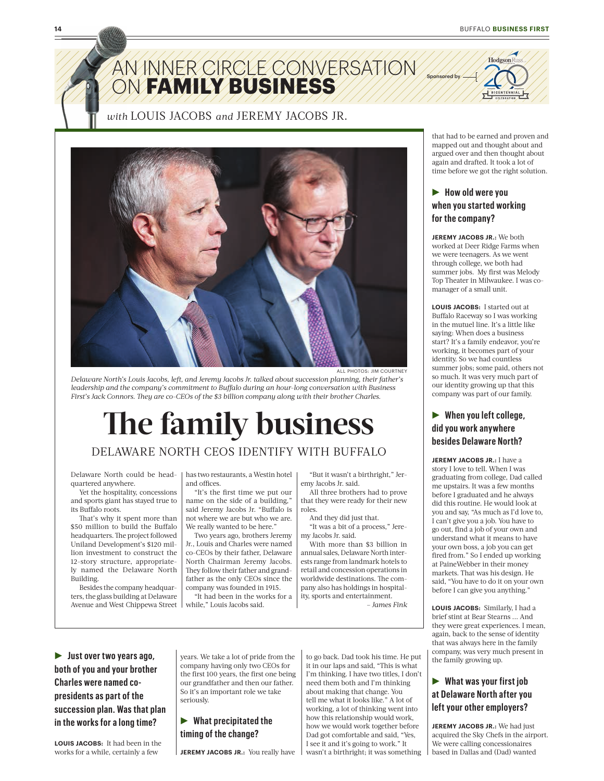

AN INNER CIRCLE CONVERSATION ON **FAMILY BUSINESS**



*with* LOUIS JACOBS *and* JEREMY JACOBS JR.



ALL PHOTOS: JIM COURTNEY

*Delaware North's Louis Jacobs, left, and Jeremy Jacobs Jr. talked about succession planning, their father's leadership and the company's commitment to Buffalo during an hour-long conversation with Business First's Jack Connors. They are co-CEOs of the \$3 billion company along with their brother Charles.* 

# **The family business**

## DELAWARE NORTH CEOS IDENTIFY WITH BUFFALO

Delaware North could be headquartered anywhere.

Yet the hospitality, concessions and sports giant has stayed true to its Buffalo roots.

That's why it spent more than \$50 million to build the Buffalo headquarters. The project followed Uniland Development's \$120 million investment to construct the 12-story structure, appropriately named the Delaware North Building.

Besides the company headquarters, the glass building at Delaware Avenue and West Chippewa Street has two restaurants, a Westin hotel and offices.

"It's the first time we put our name on the side of a building," said Jeremy Jacobs Jr. "Buffalo is not where we are but who we are. We really wanted to be here."

Two years ago, brothers Jeremy Jr., Louis and Charles were named co-CEOs by their father, Delaware North Chairman Jeremy Jacobs. They follow their father and grandfather as the only CEOs since the company was founded in 1915.

"It had been in the works for a while," Louis Jacobs said.

"But it wasn't a birthright," Jeremy Jacobs Jr. said.

All three brothers had to prove that they were ready for their new roles.

And they did just that.

"It was a bit of a process," Jeremy Jacobs Jr. said.

With more than \$3 billion in annual sales, Delaware North interests range from landmark hotels to retail and concession operations in worldwide destinations. The company also has holdings in hospitality, sports and entertainment. *– James Fink* 

R **Just over two years ago, both of you and your brother Charles were named copresidents as part of the succession plan. Was that plan in the works for a long time?**

**LOUIS JACOBS:** It had been in the works for a while, certainly a few

years. We take a lot of pride from the company having only two CEOs for the first 100 years, the first one being our grandfather and then our father. So it's an important role we take seriously.

### **EXECUTE:** What precipitated the **timing of the change?**

**JEREMY JACOBS JR.:** You really have

to go back. Dad took his time. He put it in our laps and said, "This is what I'm thinking. I have two titles, I don't need them both and I'm thinking about making that change. You tell me what it looks like." A lot of working, a lot of thinking went into how this relationship would work, how we would work together before Dad got comfortable and said, "Yes, I see it and it's going to work." It wasn't a birthright; it was something

that had to be earned and proven and mapped out and thought about and argued over and then thought about again and drafted. It took a lot of time before we got the right solution.

Sponsored by

## R **How old were you when you started working for the company?**

**JEREMY JACOBS JR.:** We both worked at Deer Ridge Farms when we were teenagers. As we went through college, we both had summer jobs. My first was Melody Top Theater in Milwaukee. I was comanager of a small unit.

**LOUIS JACOBS:** I started out at Buffalo Raceway so I was working in the mutuel line. It's a little like saying: When does a business start? It's a family endeavor, you're working, it becomes part of your identity. So we had countless summer jobs; some paid, others not so much. It was very much part of our identity growing up that this company was part of our family.

## **EXECUTE:** When you left college, **did you work anywhere besides Delaware North?**

**JEREMY JACOBS JR.:** I have a story I love to tell. When I was graduating from college, Dad called me upstairs. It was a few months before I graduated and he always did this routine. He would look at you and say, "As much as I'd love to, I can't give you a job. You have to go out, find a job of your own and understand what it means to have your own boss, a job you can get fired from." So I ended up working at PaineWebber in their money markets. That was his design. He said, "You have to do it on your own before I can give you anything."

**LOUIS JACOBS:** Similarly, I had a brief stint at Bear Stearns ... And they were great experiences. I mean, again, back to the sense of identity that was always here in the family company, was very much present in the family growing up.

## **EXECUTE:** What was your first job **at Delaware North after you left your other employers?**

**JEREMY JACOBS JR.:** We had just acquired the Sky Chefs in the airport. We were calling concessionaires based in Dallas and (Dad) wanted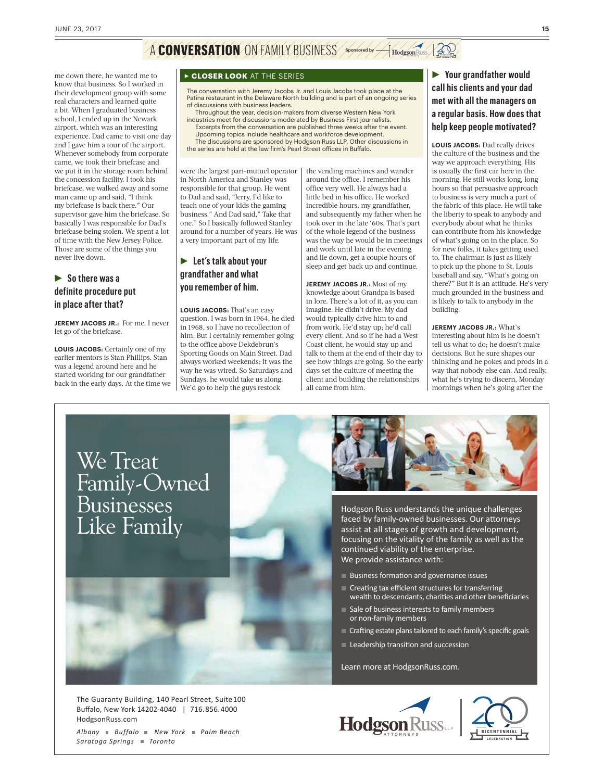## A **CONVERSATION** ON FAMILY BUSINESS Sponsored by A Hodgeson Russ, 20

me down there, he wanted me to know that business. So I worked in their development group with some real characters and learned quite a bit. When I graduated business school, I ended up in the Newark airport, which was an interesting experience. Dad came to visit one day and I gave him a tour of the airport. Whenever somebody from corporate came, we took their briefcase and we put it in the storage room behind the concession facility. I took his briefcase, we walked away and some man came up and said, "I think my briefcase is back there." Our supervisor gave him the briefcase. So basically I was responsible for Dad's briefcase being stolen. We spent a lot of time with the New Jersey Police. Those are some of the things you never live down.

## R **So there was a definite procedure put in place after that?**

**JEREMY JACOBS JR.:** For me, I never let go of the briefcase.

**LOUIS JACOBS:** Certainly one of my earlier mentors is Stan Phillips. Stan was a legend around here and he started working for our grandfather back in the early days. At the time we

#### **FCLOSER LOOK** AT THE SERIES

The conversation with Jeremy Jacobs Jr. and Louis Jacobs took place at the Patina restaurant in the Delaware North building and is part of an ongoing series of discussions with business leaders.

Throughout the year, decision-makers from diverse Western New York industries meet for discussions moderated by Business First journalists. Excerpts from the conversation are published three weeks after the event. Upcoming topics include healthcare and workforce development.

The discussions are sponsored by Hodgson Russ LLP. Other discussions in the series are held at the law firm's Pearl Street offices in Buffalo.

were the largest pari-mutuel operator in North America and Stanley was responsible for that group. He went to Dad and said, "Jerry, I'd like to teach one of your kids the gaming business." And Dad said," Take that one." So I basically followed Stanley around for a number of years. He was a very important part of my life.

## **Example 1** Let's talk about your **grandfather and what you remember of him.**

**LOUIS JACOBS:** That's an easy question. I was born in 1964, he died in 1968, so I have no recollection of him. But I certainly remember going to the office above Dekdebrun's Sporting Goods on Main Street. Dad always worked weekends; it was the way he was wired. So Saturdays and Sundays, he would take us along. We'd go to help the guys restock

the vending machines and wander around the office. I remember his office very well. He always had a little bed in his office. He worked incredible hours, my grandfather, and subsequently my father when he took over in the late '60s. That's part of the whole legend of the business was the way he would be in meetings and work until late in the evening and lie down, get a couple hours of sleep and get back up and continue.

**JEREMY JACOBS JR.:** Most of my knowledge about Grandpa is based in lore. There's a lot of it, as you can imagine. He didn't drive. My dad would typically drive him to and from work. He'd stay up; he'd call every client. And so if he had a West Coast client, he would stay up and talk to them at the end of their day to see how things are going. So the early days set the culture of meeting the client and building the relationships all came from him.

## R **Your grandfather would call his clients and your dad met with all the managers on a regular basis. How does that help keep people motivated?**

**LOUIS JACOBS:** Dad really drives the culture of the business and the way we approach everything. His is usually the first car here in the morning. He still works long, long hours so that persuasive approach to business is very much a part of the fabric of this place. He will take the liberty to speak to anybody and everybody about what he thinks can contribute from his knowledge of what's going on in the place. So for new folks, it takes getting used to. The chairman is just as likely to pick up the phone to St. Louis baseball and say, "What's going on there?" But it is an attitude. He's very much grounded in the business and is likely to talk to anybody in the building.

**JEREMY JACOBS JR.:** What's interesting about him is he doesn't tell us what to do; he doesn't make decisions. But he sure shapes our thinking and he pokes and prods in a way that nobody else can. And really, what he's trying to discern, Monday mornings when he's going after the

We Treat Family-Owned Businesses Like Family



Hodgson Russ understands the unique challenges faced by family-owned businesses. Our attorneys assist at all stages of growth and development, focusing on the vitality of the family as well as the continued viability of the enterprise. We provide assistance with:

- Business formation and governance issues
- Creating tax efficient structures for transferring wealth to descendants, charities and other beneficiaries
- Sale of business interests to family members or non-family members
- Crafting estate plans tailored to each family's specific goals
- Leadership transition and succession

Learn more at HodgsonRuss.com.



*Albany Buffalo New York Palm Beach Saratoga Springs Toronto*



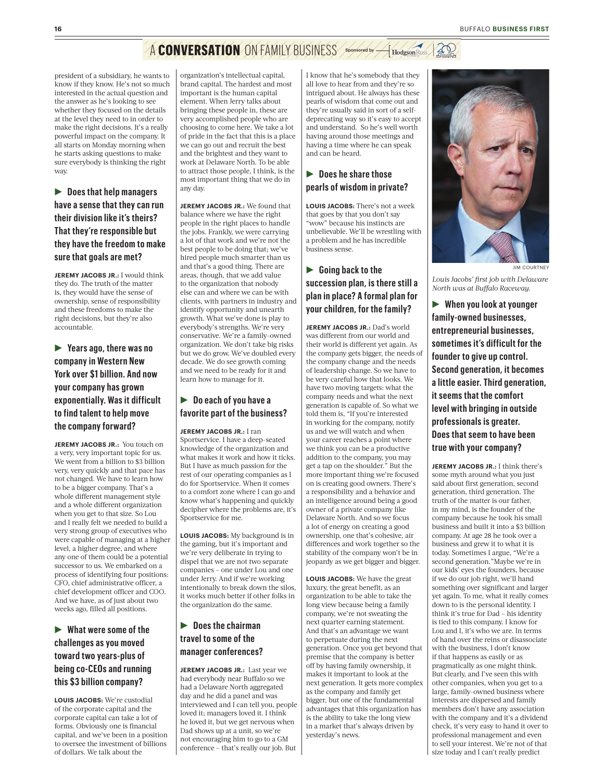## A **CONVERSATION** ON FAMILY BUSINESS Sponsored by H Hodgson Russ / 20

president of a subsidiary, he wants to know if they know. He's not so much interested in the actual question and the answer as he's looking to see whether they focused on the details at the level they need to in order to make the right decisions. It's a really powerful impact on the company. It all starts on Monday morning when he starts asking questions to make sure everybody is thinking the right way.

▶ Does that help managers **have a sense that they can run their division like it's theirs? That they're responsible but they have the freedom to make sure that goals are met?**

**JEREMY JACOBS JR.:** I would think they do. The truth of the matter is, they would have the sense of ownership, sense of responsibility and these freedoms to make the right decisions, but they're also accountable.

R **Years ago, there was no company in Western New York over \$1 billion. And now your company has grown exponentially. Was it difficult to find talent to help move the company forward?**

**JEREMY JACOBS JR.:** You touch on a very, very important topic for us. We went from a billion to \$3 billion very, very quickly and that pace has not changed. We have to learn how to be a bigger company. That's a whole different management style and a whole different organization when you get to that size. So Lou and I really felt we needed to build a very strong group of executives who were capable of managing at a higher level, a higher degree, and where any one of them could be a potential successor to us. We embarked on a process of identifying four positions: CFO, chief administrative officer, a chief development officer and COO. And we have, as of just about two weeks ago, filled all positions.

## **EXECUTE:** What were some of the **challenges as you moved toward two years-plus of being co-CEOs and running this \$3 billion company?**

**LOUIS JACOBS:** We're custodial of the corporate capital and the corporate capital can take a lot of forms. Obviously one is financial capital, and we've been in a position to oversee the investment of billions of dollars. We talk about the

organization's intellectual capital, brand capital. The hardest and most important is the human capital element. When Jerry talks about bringing these people in, these are very accomplished people who are choosing to come here. We take a lot of pride in the fact that this is a place we can go out and recruit the best and the brightest and they want to work at Delaware North. To be able to attract those people, I think, is the most important thing that we do in any day.

**JEREMY JACOBS JR.:** We found that balance where we have the right people in the right places to handle the jobs. Frankly, we were carrying a lot of that work and we're not the best people to be doing that; we've hired people much smarter than us and that's a good thing. There are areas, though, that we add value to the organization that nobody else can and where we can be with clients, with partners in industry and identify opportunity and unearth growth. What we've done is play to everybody's strengths. We're very conservative. We're a family-owned organization. We don't take big risks but we do grow. We've doubled every decade. We do see growth coming and we need to be ready for it and learn how to manage for it.

## **P** Do each of you have a **favorite part of the business?**

#### **JEREMY JACOBS JR.:** I ran

Sportservice. I have a deep-seated knowledge of the organization and what makes it work and how it ticks. But I have as much passion for the rest of our operating companies as I do for Sportservice. When it comes to a comfort zone where I can go and know what's happening and quickly decipher where the problems are, it's Sportservice for me.

**LOUIS JACOBS:** My background is in the gaming, but it's important and we're very deliberate in trying to dispel that we are not two separate companies – one under Lou and one under Jerry. And if we're working intentionally to break down the silos, it works much better if other folks in the organization do the same.

## **R** Does the chairman **travel to some of the manager conferences?**

**JEREMY JACOBS JR.:** Last year we had everybody near Buffalo so we had a Delaware North aggregated day and he did a panel and was interviewed and I can tell you, people loved it; managers loved it. I think he loved it, but we get nervous when Dad shows up at a unit, so we're not encouraging him to go to a GM conference – that's really our job. But I know that he's somebody that they all love to hear from and they're so intrigued about. He always has these pearls of wisdom that come out and they're usually said in sort of a selfdeprecating way so it's easy to accept and understand. So he's well worth having around those meetings and having a time where he can speak and can be heard.

### **P** Does he share those **pearls of wisdom in private?**

**LOUIS JACOBS:** There's not a week that goes by that you don't say "wow" because his instincts are unbelievable. We'll be wrestling with a problem and he has incredible business sense.

## **Example 3 Going back to the succession plan, is there still a plan in place? A formal plan for your children, for the family?**

**JEREMY JACOBS JR.:** Dad's world was different from our world and their world is different yet again. As the company gets bigger, the needs of the company change and the needs of leadership change. So we have to be very careful how that looks. We have two moving targets: what the company needs and what the next generation is capable of. So what we told them is, "If you're interested in working for the company, notify us and we will watch and when your career reaches a point where we think you can be a productive addition to the company, you may get a tap on the shoulder." But the more important thing we're focused on is creating good owners. There's a responsibility and a behavior and an intelligence around being a good owner of a private company like Delaware North. And so we focus a lot of energy on creating a good ownership, one that's cohesive, air differences and work together so the stability of the company won't be in jeopardy as we get bigger and bigger.

**LOUIS JACOBS:** We have the great luxury, the great benefit, as an organization to be able to take the long view because being a family company, we're not sweating the next quarter earning statement. And that's an advantage we want to perpetuate during the next generation. Once you get beyond that premise that the company is better off by having family ownership, it makes it important to look at the next generation. It gets more complex as the company and family get bigger, but one of the fundamental advantages that this organization has is the ability to take the long view in a market that's always driven by yesterday's news.



JIM COURTNEY

*Louis Jacobs' first job with Delaware North was at Buffalo Raceway.* 

R **When you look at younger family-owned businesses, entrepreneurial businesses, sometimes it's difficult for the founder to give up control. Second generation, it becomes a little easier. Third generation, it seems that the comfort level with bringing in outside professionals is greater. Does that seem to have been true with your company?**

**JEREMY JACOBS JR.:** I think there's some myth around what you just said about first generation, second generation, third generation. The truth of the matter is our father, in my mind, is the founder of the company because he took his small business and built it into a \$3 billion company. At age 28 he took over a business and grew it to what it is today. Sometimes I argue, "We're a second generation."Maybe we're in our kids' eyes the founders, because if we do our job right, we'll hand something over significant and larger yet again. To me, what it really comes down to is the personal identity. I think it's true for Dad – his identity is tied to this company. I know for Lou and I, it's who we are. In terms of hand over the reins or disassociate with the business, I don't know if that happens as easily or as pragmatically as one might think. But clearly, and I've seen this with other companies, when you get to a large, family-owned business where interests are dispersed and family members don't have any association with the company and it's a dividend check, it's very easy to hand it over to professional management and even to sell your interest. We're not of that size today and I can't really predict